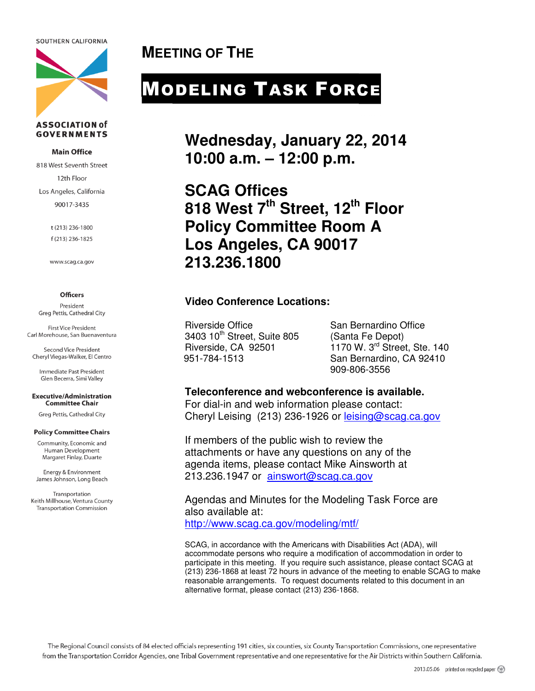SOUTHERN CALIFORNIA



#### **ASSOCIATION of GOVERNMENTS**

#### **Main Office**

818 West Seventh Street 12th Floor Los Angeles, California 90017-3435

> t (213) 236-1800 f (213) 236-1825

www.scag.ca.gov

#### **Officers**

President Greg Pettis, Cathedral City

First Vice President Carl Morehouse, San Buenaventura

**Second Vice President** Cheryl Viegas-Walker, El Centro

Immediate Past President Glen Becerra, Simi Valley

#### **Executive/Administration Committee Chair**

Greg Pettis, Cathedral City

#### **Policy Committee Chairs**

Community, Economic and Human Development Margaret Finlay, Duarte

Energy & Environment James Johnson, Long Beach

Transportation Keith Millhouse, Ventura County **Transportation Commission** 

**MEETING OF THE** 

# MODELING TASK FORCE

**Wednesday, January 22, 2014 10:00 a.m. – 12:00 p.m.** 

**SCAG Offices 818 West 7th Street, 12th Floor Policy Committee Room A Los Angeles, CA 90017 213.236.1800** 

# **Video Conference Locations:**

Riverside Office San Bernardino Office 3403 10<sup>th</sup> Street, Suite 805 (Santa Fe Depot)<br>Riverside, CA 92501 1170 W, 3<sup>rd</sup> Stree

 $1170$  W. 3<sup>rd</sup> Street, Ste. 140 951-784-1513 San Bernardino, CA 92410 909-806-3556

#### **Teleconference and webconference is available.**

For dial-in and web information please contact: Cheryl Leising (213) 236-1926 or leising@scag.ca.gov

If members of the public wish to review the attachments or have any questions on any of the agenda items, please contact Mike Ainsworth at 213.236.1947 or ainswort@scag.ca.gov

Agendas and Minutes for the Modeling Task Force are also available at:

http://www.scag.ca.gov/modeling/mtf/

SCAG, in accordance with the Americans with Disabilities Act (ADA), will accommodate persons who require a modification of accommodation in order to participate in this meeting. If you require such assistance, please contact SCAG at (213) 236-1868 at least 72 hours in advance of the meeting to enable SCAG to make reasonable arrangements. To request documents related to this document in an alternative format, please contact (213) 236-1868.

The Regional Council consists of 84 elected officials representing 191 cities, six counties, six County Transportation Commissions, one representative from the Transportation Corridor Agencies, one Tribal Government representative and one representative for the Air Districts within Southern California.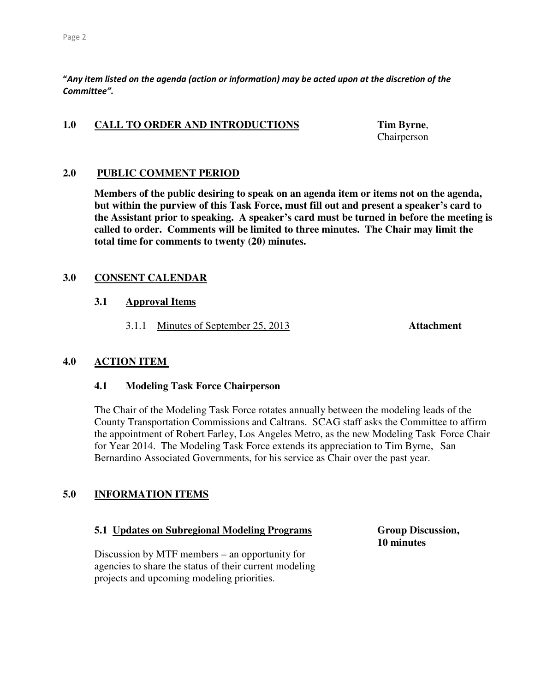"Any item listed on the agenda (action or information) may be acted upon at the discretion of the Committee".

#### 1.0 CALL TO ORDER AND INTRODUCTIONS Tim Byrne,

Chairperson

#### **2.0 PUBLIC COMMENT PERIOD**

 **Members of the public desiring to speak on an agenda item or items not on the agenda, but within the purview of this Task Force, must fill out and present a speaker's card to the Assistant prior to speaking. A speaker's card must be turned in before the meeting is called to order. Comments will be limited to three minutes. The Chair may limit the total time for comments to twenty (20) minutes.** 

## **3.0 CONSENT CALENDAR**

#### **3.1 Approval Items**

3.1.1 Minutes of September 25, 2013 **Attachment** 

#### **4.0 ACTION ITEM**

#### **4.1 Modeling Task Force Chairperson**

The Chair of the Modeling Task Force rotates annually between the modeling leads of the County Transportation Commissions and Caltrans. SCAG staff asks the Committee to affirm the appointment of Robert Farley, Los Angeles Metro, as the new Modeling Task Force Chair for Year 2014. The Modeling Task Force extends its appreciation to Tim Byrne, San Bernardino Associated Governments, for his service as Chair over the past year.

# **5.0 INFORMATION ITEMS**

#### **5.1 Updates on Subregional Modeling Programs Group Discussion,**

 Discussion by MTF members – an opportunity for agencies to share the status of their current modeling projects and upcoming modeling priorities.

 **10 minutes**